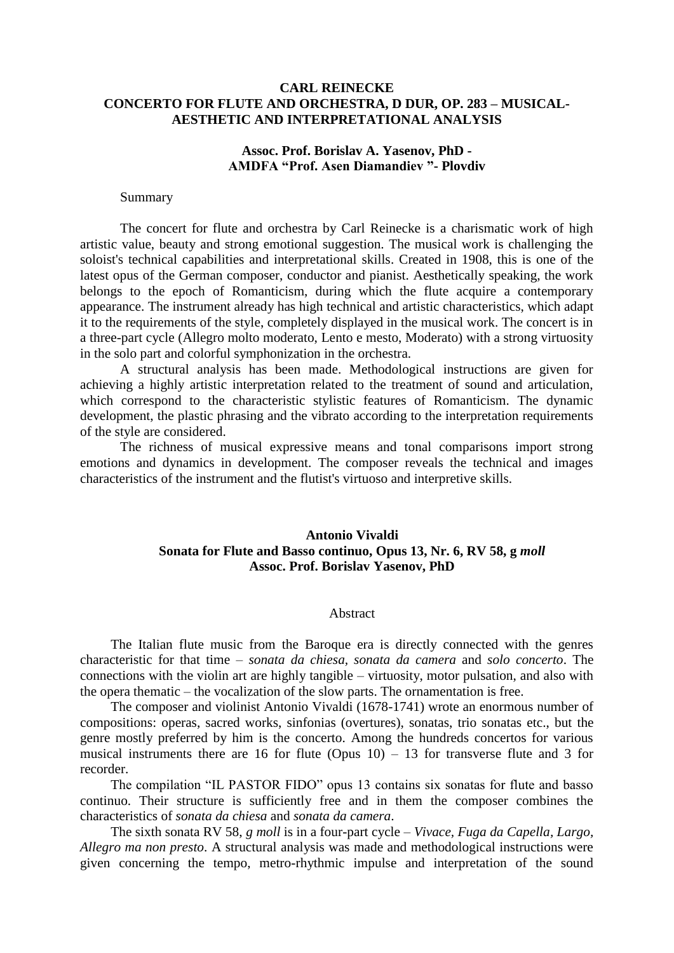## **CARL REINECKE CONCERTO FOR FLUTE AND ORCHESTRA, D DUR, OP. 283 – MUSICAL-AESTHETIC AND INTERPRETATIONAL ANALYSIS**

### **Assoc. Prof. Borislav A. Yasenov, PhD - AMDFA "Prof. Asen Diamandiev "- Plovdiv**

#### Summary

The concert for flute and orchestra by Carl Reinecke is a charismatic work of high artistic value, beauty and strong emotional suggestion. The musical work is challenging the soloist's technical capabilities and interpretational skills. Created in 1908, this is one of the latest opus of the German composer, conductor and pianist. Aesthetically speaking, the work belongs to the epoch of Romanticism, during which the flute acquire a contemporary appearance. The instrument already has high technical and artistic characteristics, which adapt it to the requirements of the style, completely displayed in the musical work. The concert is in a three-part cycle (Allegro molto moderato, Lento e mesto, Moderato) with a strong virtuosity in the solo part and colorful symphonization in the orchestra.

A structural analysis has been made. Methodological instructions are given for achieving a highly artistic interpretation related to the treatment of sound and articulation, which correspond to the characteristic stylistic features of Romanticism. The dynamic development, the plastic phrasing and the vibrato according to the interpretation requirements of the style are considered.

The richness of musical expressive means and tonal comparisons import strong emotions and dynamics in development. The composer reveals the technical and images characteristics of the instrument and the flutist's virtuoso and interpretive skills.

# **Antonio Vivaldi Sonata for Flute and Basso continuo, Opus 13, Nr. 6, RV 58, g** *moll* **Assoc. Prof. Borislav Yasenov, PhD**

#### Abstract

The Italian flute music from the Baroque era is directly connected with the genres characteristic for that time – *sonata da chiesa, sonata da camera* and *solo concerto*. The connections with the violin art are highly tangible – virtuosity, motor pulsation, and also with the opera thematic – the vocalization of the slow parts. The ornamentation is free.

The composer and violinist Antonio Vivaldi (1678-1741) wrote an enormous number of compositions: operas, sacred works, sinfonias (overtures), sonatas, trio sonatas etc., but the genre mostly preferred by him is the concerto. Among the hundreds concertos for various musical instruments there are 16 for flute (Opus  $10$ ) – 13 for transverse flute and 3 for recorder.

The compilation "IL PASTOR FIDO" opus 13 contains six sonatas for flute and basso continuo. Their structure is sufficiently free and in them the composer combines the characteristics of *sonata da chiesa* and *sonata da camera*.

The sixth sonata RV 58, *g moll* is in a four-part cycle – *Vivace, Fuga da Capella, Largo, Allegro ma non presto*. A structural analysis was made and methodological instructions were given concerning the tempo, metro-rhythmic impulse and interpretation of the sound